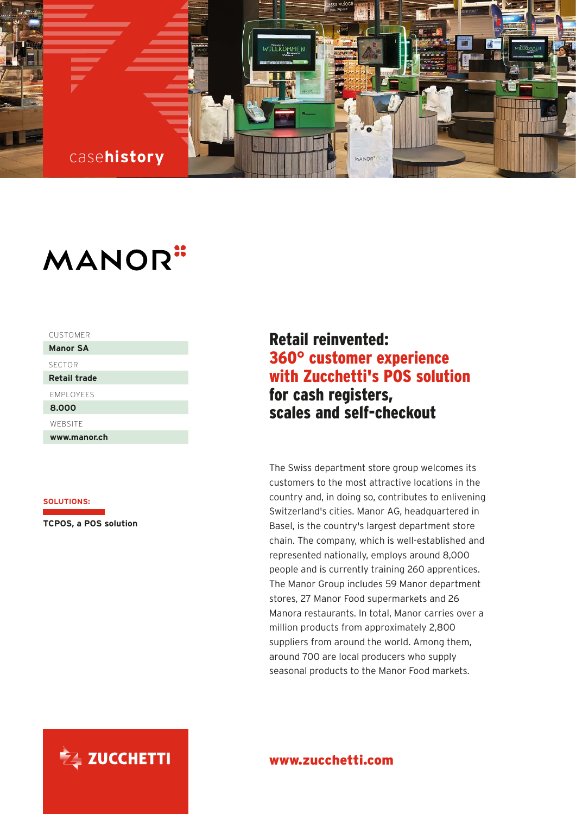

# **MANOR**"

| <b>CUSTOMER</b>     |
|---------------------|
| <b>Manor SA</b>     |
| <b>SECTOR</b>       |
| <b>Retail trade</b> |
| <b>FMPI OYFFS</b>   |
| 8.000               |
| WEBSITE             |
| www.manor.ch        |

## **SOLUTIONS:**

**TCPOS, a POS solution** 

## Retail reinvented: 360° customer experience with Zucchetti's POS solution for cash registers, scales and self-checkout

The Swiss department store group welcomes its customers to the most attractive locations in the country and, in doing so, contributes to enlivening Switzerland's cities. Manor AG, headquartered in Basel, is the country's largest department store chain. The company, which is well-established and represented nationally, employs around 8,000 people and is currently training 260 apprentices. The Manor Group includes 59 Manor department stores, 27 Manor Food supermarkets and 26 Manora restaurants. In total, Manor carries over a million products from approximately 2,800 suppliers from around the world. Among them, around 700 are local producers who supply seasonal products to the Manor Food markets.



## www.zucchetti.com